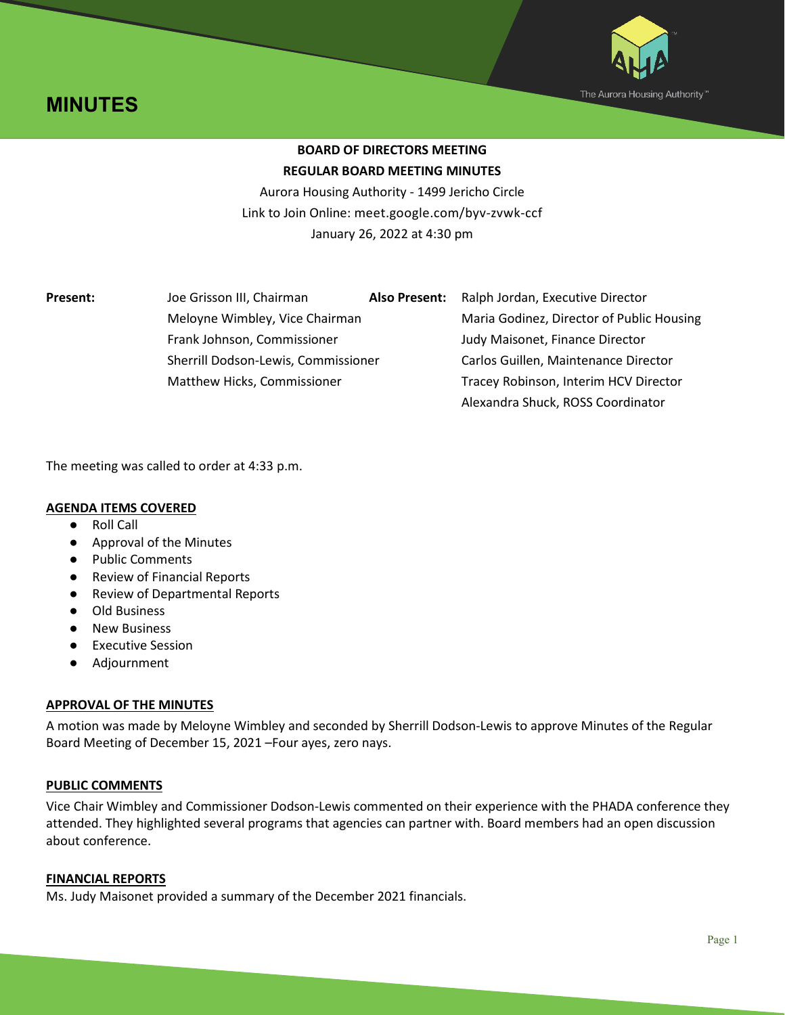



# **BOARD OF DIRECTORS MEETING REGULAR BOARD MEETING MINUTES**

Aurora Housing Authority - 1499 Jericho Circle Link to Join Online: meet.google.com/byv-zvwk-ccf January 26, 2022 at 4:30 pm

**Present:** Joe Grisson III, Chairman **Also Present:** Ralph Jordan, Executive Director Frank Johnson, Commissioner Judy Maisonet, Finance Director

Meloyne Wimbley, Vice Chairman Maria Godinez, Director of Public Housing Sherrill Dodson-Lewis, Commissioner Carlos Guillen, Maintenance Director Matthew Hicks, Commissioner Tracey Robinson, Interim HCV Director Alexandra Shuck, ROSS Coordinator

The meeting was called to order at 4:33 p.m.

# **AGENDA ITEMS COVERED**

- **Roll Call**
- Approval of the Minutes
- Public Comments
- Review of Financial Reports
- Review of Departmental Reports
- Old Business
- New Business
- Executive Session
- Adjournment

# **APPROVAL OF THE MINUTES**

A motion was made by Meloyne Wimbley and seconded by Sherrill Dodson-Lewis to approve Minutes of the Regular Board Meeting of December 15, 2021 –Four ayes, zero nays.

# **PUBLIC COMMENTS**

Vice Chair Wimbley and Commissioner Dodson-Lewis commented on their experience with the PHADA conference they attended. They highlighted several programs that agencies can partner with. Board members had an open discussion about conference.

# **FINANCIAL REPORTS**

Ms. Judy Maisonet provided a summary of the December 2021 financials.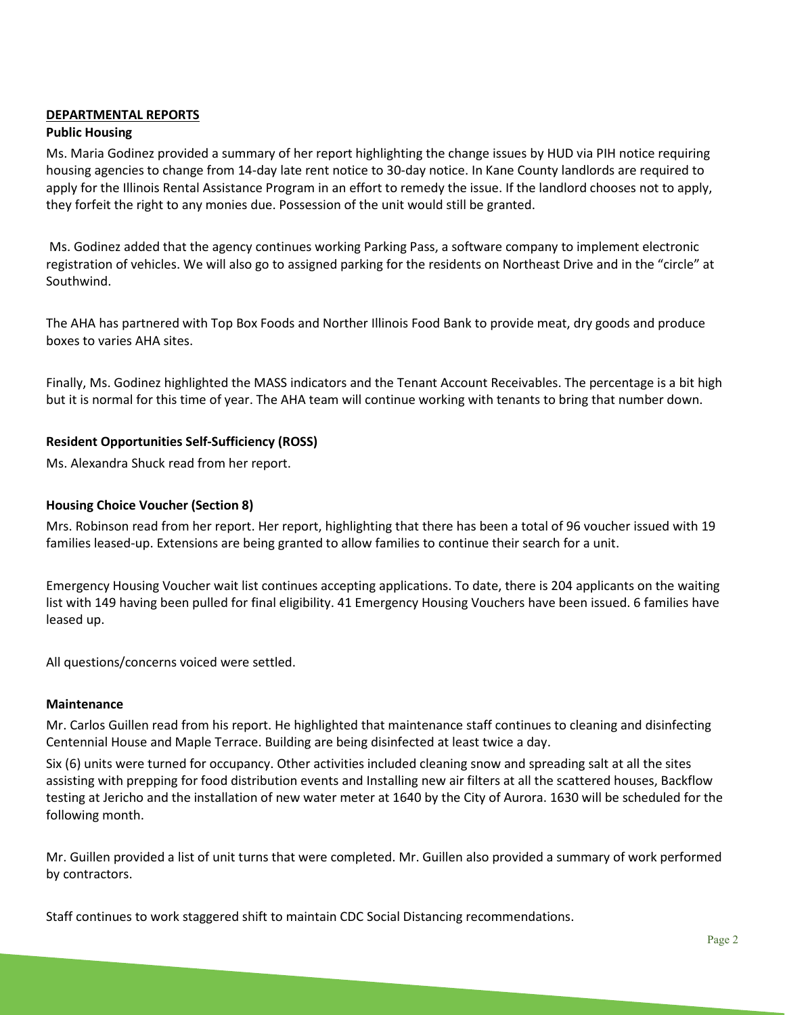# **DEPARTMENTAL REPORTS**

# **Public Housing**

Ms. Maria Godinez provided a summary of her report highlighting the change issues by HUD via PIH notice requiring housing agencies to change from 14-day late rent notice to 30-day notice. In Kane County landlords are required to apply for the Illinois Rental Assistance Program in an effort to remedy the issue. If the landlord chooses not to apply, they forfeit the right to any monies due. Possession of the unit would still be granted.

Ms. Godinez added that the agency continues working Parking Pass, a software company to implement electronic registration of vehicles. We will also go to assigned parking for the residents on Northeast Drive and in the "circle" at Southwind.

The AHA has partnered with Top Box Foods and Norther Illinois Food Bank to provide meat, dry goods and produce boxes to varies AHA sites.

Finally, Ms. Godinez highlighted the MASS indicators and the Tenant Account Receivables. The percentage is a bit high but it is normal for this time of year. The AHA team will continue working with tenants to bring that number down.

# **Resident Opportunities Self-Sufficiency (ROSS)**

Ms. Alexandra Shuck read from her report.

# **Housing Choice Voucher (Section 8)**

Mrs. Robinson read from her report. Her report, highlighting that there has been a total of 96 voucher issued with 19 families leased-up. Extensions are being granted to allow families to continue their search for a unit.

Emergency Housing Voucher wait list continues accepting applications. To date, there is 204 applicants on the waiting list with 149 having been pulled for final eligibility. 41 Emergency Housing Vouchers have been issued. 6 families have leased up.

All questions/concerns voiced were settled.

# **Maintenance**

Mr. Carlos Guillen read from his report. He highlighted that maintenance staff continues to cleaning and disinfecting Centennial House and Maple Terrace. Building are being disinfected at least twice a day.

Six (6) units were turned for occupancy. Other activities included cleaning snow and spreading salt at all the sites assisting with prepping for food distribution events and Installing new air filters at all the scattered houses, Backflow testing at Jericho and the installation of new water meter at 1640 by the City of Aurora. 1630 will be scheduled for the following month.

Mr. Guillen provided a list of unit turns that were completed. Mr. Guillen also provided a summary of work performed by contractors.

Staff continues to work staggered shift to maintain CDC Social Distancing recommendations.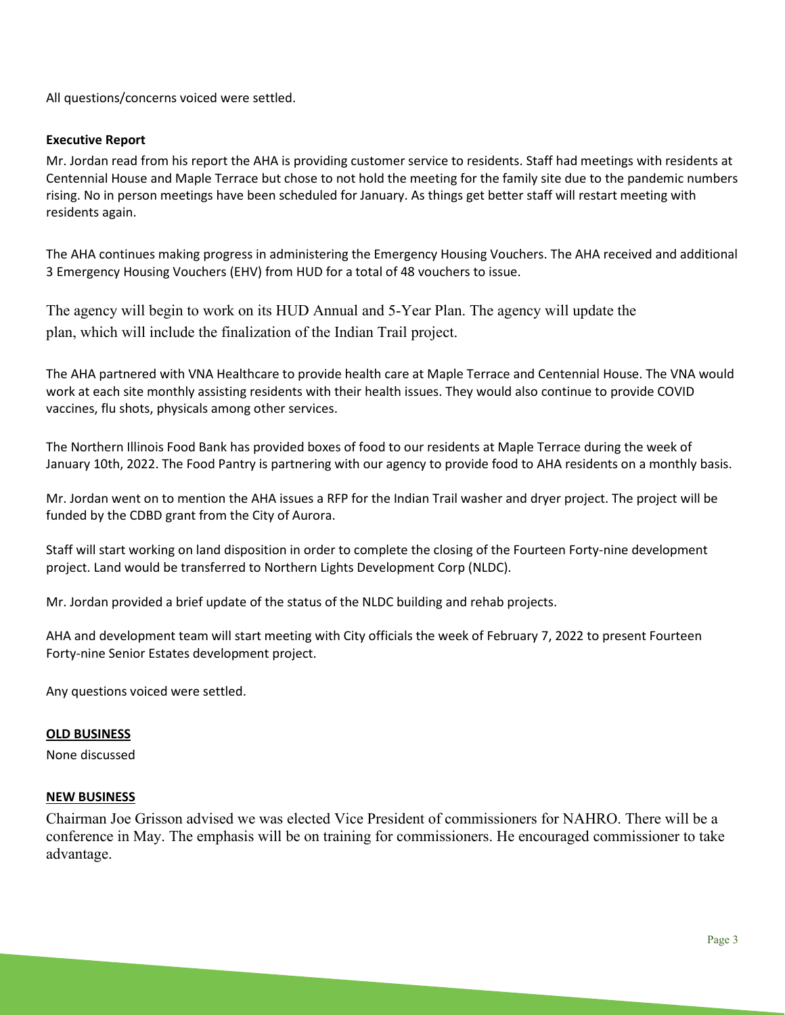All questions/concerns voiced were settled.

### **Executive Report**

Mr. Jordan read from his report the AHA is providing customer service to residents. Staff had meetings with residents at Centennial House and Maple Terrace but chose to not hold the meeting for the family site due to the pandemic numbers rising. No in person meetings have been scheduled for January. As things get better staff will restart meeting with residents again.

The AHA continues making progress in administering the Emergency Housing Vouchers. The AHA received and additional 3 Emergency Housing Vouchers (EHV) from HUD for a total of 48 vouchers to issue.

The agency will begin to work on its HUD Annual and 5-Year Plan. The agency will update the plan, which will include the finalization of the Indian Trail project.

The AHA partnered with VNA Healthcare to provide health care at Maple Terrace and Centennial House. The VNA would work at each site monthly assisting residents with their health issues. They would also continue to provide COVID vaccines, flu shots, physicals among other services.

The Northern Illinois Food Bank has provided boxes of food to our residents at Maple Terrace during the week of January 10th, 2022. The Food Pantry is partnering with our agency to provide food to AHA residents on a monthly basis.

Mr. Jordan went on to mention the AHA issues a RFP for the Indian Trail washer and dryer project. The project will be funded by the CDBD grant from the City of Aurora.

Staff will start working on land disposition in order to complete the closing of the Fourteen Forty-nine development project. Land would be transferred to Northern Lights Development Corp (NLDC).

Mr. Jordan provided a brief update of the status of the NLDC building and rehab projects.

AHA and development team will start meeting with City officials the week of February 7, 2022 to present Fourteen Forty-nine Senior Estates development project.

Any questions voiced were settled.

#### **OLD BUSINESS**

None discussed

#### **NEW BUSINESS**

Chairman Joe Grisson advised we was elected Vice President of commissioners for NAHRO. There will be a conference in May. The emphasis will be on training for commissioners. He encouraged commissioner to take advantage.